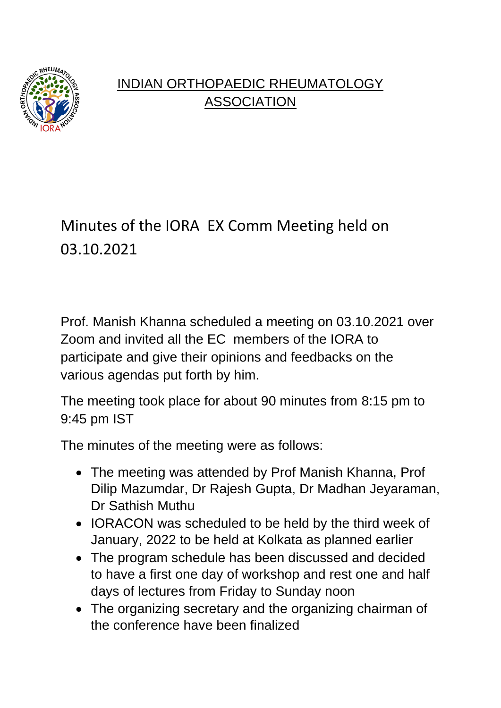

## INDIAN ORTHOPAEDIC RHEUMATOLOGY **ASSOCIATION**

## Minutes of the IORA EX Comm Meeting held on 03.10.2021

Prof. Manish Khanna scheduled a meeting on 03.10.2021 over Zoom and invited all the EC members of the IORA to participate and give their opinions and feedbacks on the various agendas put forth by him.

The meeting took place for about 90 minutes from 8:15 pm to 9:45 pm IST

The minutes of the meeting were as follows:

- The meeting was attended by Prof Manish Khanna, Prof Dilip Mazumdar, Dr Rajesh Gupta, Dr Madhan Jeyaraman, Dr Sathish Muthu
- IORACON was scheduled to be held by the third week of January, 2022 to be held at Kolkata as planned earlier
- The program schedule has been discussed and decided to have a first one day of workshop and rest one and half days of lectures from Friday to Sunday noon
- The organizing secretary and the organizing chairman of the conference have been finalized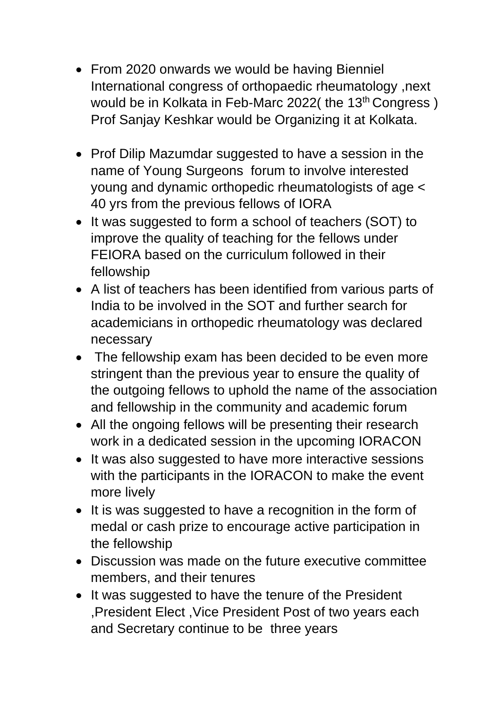- From 2020 onwards we would be having Bienniel International congress of orthopaedic rheumatology ,next would be in Kolkata in Feb-Marc 2022( the 13<sup>th</sup> Congress) Prof Sanjay Keshkar would be Organizing it at Kolkata.
- Prof Dilip Mazumdar suggested to have a session in the name of Young Surgeons forum to involve interested young and dynamic orthopedic rheumatologists of age < 40 yrs from the previous fellows of IORA
- It was suggested to form a school of teachers (SOT) to improve the quality of teaching for the fellows under FEIORA based on the curriculum followed in their fellowship
- A list of teachers has been identified from various parts of India to be involved in the SOT and further search for academicians in orthopedic rheumatology was declared necessary
- The fellowship exam has been decided to be even more stringent than the previous year to ensure the quality of the outgoing fellows to uphold the name of the association and fellowship in the community and academic forum
- All the ongoing fellows will be presenting their research work in a dedicated session in the upcoming IORACON
- It was also suggested to have more interactive sessions with the participants in the IORACON to make the event more lively
- It is was suggested to have a recognition in the form of medal or cash prize to encourage active participation in the fellowship
- Discussion was made on the future executive committee members, and their tenures
- It was suggested to have the tenure of the President ,President Elect ,Vice President Post of two years each and Secretary continue to be three years